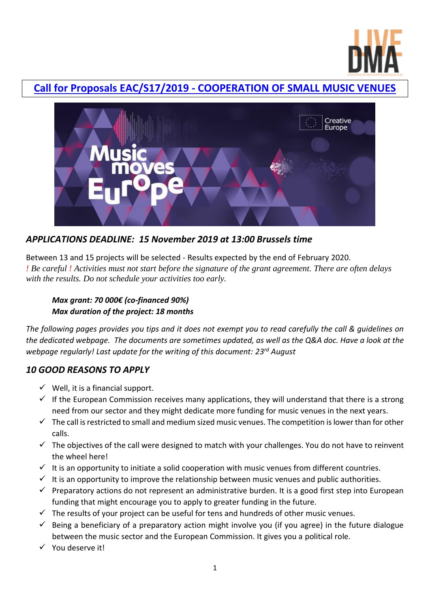

# **Call for Proposals EAC/S17/2019 - [COOPERATION OF SMALL MUSIC VENUES](https://ec.europa.eu/programmes/creative-europe/content/call-proposals-co-operation-small-music-venues_en)**



## *APPLICATIONS DEADLINE: 15 November 2019 at 13:00 Brussels time*

Between 13 and 15 projects will be selected - Results expected by the end of February 2020. *! Be careful ! Activities must not start before the signature of the grant agreement. There are often delays with the results. Do not schedule your activities too early.* 

## *Max grant: 70 000€ (co-financed 90%) Max duration of the project: 18 months*

*The following pages provides you tips and it does not exempt you to read carefully the call & guidelines on the dedicated webpage. The documents are sometimes updated, as well as the Q&A doc. Have a look at the webpage regularly! Last update for the writing of this document: 23rd August*

## *10 GOOD REASONS TO APPLY*

- $\checkmark$  Well, it is a financial support.
- $\checkmark$  If the European Commission receives many applications, they will understand that there is a strong need from our sector and they might dedicate more funding for music venues in the next years.
- $\checkmark$  The call is restricted to small and medium sized music venues. The competition is lower than for other calls.
- $\checkmark$  The objectives of the call were designed to match with your challenges. You do not have to reinvent the wheel here!
- $\checkmark$  It is an opportunity to initiate a solid cooperation with music venues from different countries.
- $\checkmark$  It is an opportunity to improve the relationship between music venues and public authorities.
- $\checkmark$  Preparatory actions do not represent an administrative burden. It is a good first step into European funding that might encourage you to apply to greater funding in the future.
- $\checkmark$  The results of your project can be useful for tens and hundreds of other music venues.
- $\checkmark$  Being a beneficiary of a preparatory action might involve you (if you agree) in the future dialogue between the music sector and the European Commission. It gives you a political role.
- You deserve it!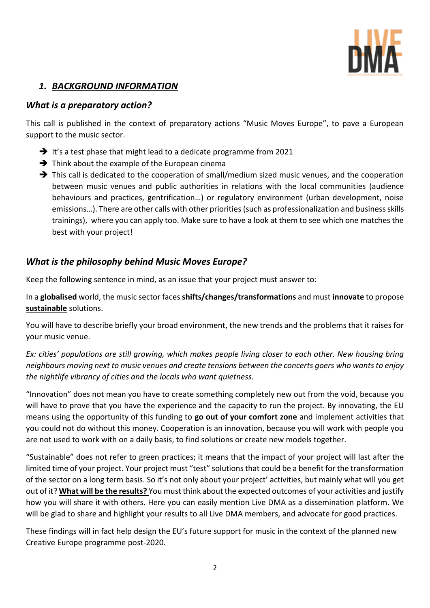

## *1. BACKGROUND INFORMATION*

## *What is a preparatory action?*

This call is published in the context of preparatory actions "Music Moves Europe", to pave a European support to the music sector.

- $\rightarrow$  It's a test phase that might lead to a dedicate programme from 2021
- $\rightarrow$  Think about the example of the European cinema
- $\rightarrow$  This call is dedicated to the cooperation of small/medium sized music venues, and the cooperation between music venues and public authorities in relations with the local communities (audience behaviours and practices, gentrification…) or regulatory environment (urban development, noise emissions…). There are other calls with other priorities (such as professionalization and business skills trainings), where you can apply too. Make sure to have a look at them to see which one matches the best with your project!

## *What is the philosophy behind Music Moves Europe?*

Keep the following sentence in mind, as an issue that your project must answer to:

In a **globalised** world, the music sector faces**shifts/changes/transformations** and must **innovate** to propose **sustainable** solutions.

You will have to describe briefly your broad environment, the new trends and the problems that it raises for your music venue.

*Ex: cities' populations are still growing, which makes people living closer to each other. New housing bring neighbours moving next to music venues and create tensions between the concerts goers who wants to enjoy the nightlife vibrancy of cities and the locals who want quietness.*

"Innovation" does not mean you have to create something completely new out from the void, because you will have to prove that you have the experience and the capacity to run the project. By innovating, the EU means using the opportunity of this funding to **go out of your comfort zone** and implement activities that you could not do without this money. Cooperation is an innovation, because you will work with people you are not used to work with on a daily basis, to find solutions or create new models together.

"Sustainable" does not refer to green practices; it means that the impact of your project will last after the limited time of your project. Your project must "test" solutions that could be a benefit for the transformation of the sector on a long term basis. So it's not only about your project' activities, but mainly what will you get out of it? **What will be the results?** You must think about the expected outcomes of your activities and justify how you will share it with others. Here you can easily mention Live DMA as a dissemination platform. We will be glad to share and highlight your results to all Live DMA members, and advocate for good practices.

These findings will in fact help design the EU's future support for music in the context of the planned new Creative Europe programme post-2020.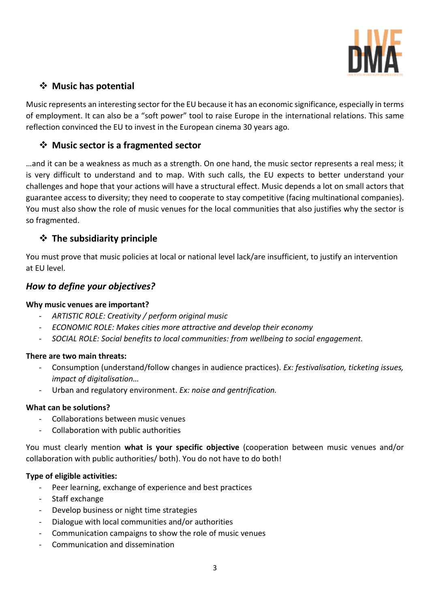

## **Music has potential**

Music represents an interesting sector for the EU because it has an economic significance, especially in terms of employment. It can also be a "soft power" tool to raise Europe in the international relations. This same reflection convinced the EU to invest in the European cinema 30 years ago.

## **Music sector is a fragmented sector**

…and it can be a weakness as much as a strength. On one hand, the music sector represents a real mess; it is very difficult to understand and to map. With such calls, the EU expects to better understand your challenges and hope that your actions will have a structural effect. Music depends a lot on small actors that guarantee access to diversity; they need to cooperate to stay competitive (facing multinational companies). You must also show the role of music venues for the local communities that also justifies why the sector is so fragmented.

## **The subsidiarity principle**

You must prove that music policies at local or national level lack/are insufficient, to justify an intervention at EU level.

## *How to define your objectives?*

### **Why music venues are important?**

- *ARTISTIC ROLE: Creativity / perform original music*
- *ECONOMIC ROLE: Makes cities more attractive and develop their economy*
- *SOCIAL ROLE: Social benefits to local communities: from wellbeing to social engagement.*

### **There are two main threats:**

- Consumption (understand/follow changes in audience practices). *Ex: festivalisation, ticketing issues, impact of digitalisation…*
- Urban and regulatory environment. *Ex: noise and gentrification.*

### **What can be solutions?**

- Collaborations between music venues
- Collaboration with public authorities

You must clearly mention **what is your specific objective** (cooperation between music venues and/or collaboration with public authorities/ both). You do not have to do both!

### **Type of eligible activities:**

- Peer learning, exchange of experience and best practices
- Staff exchange
- Develop business or night time strategies
- Dialogue with local communities and/or authorities
- Communication campaigns to show the role of music venues
- Communication and dissemination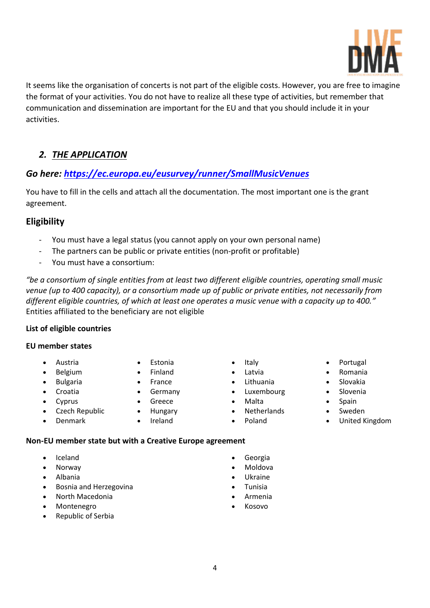

It seems like the organisation of concerts is not part of the eligible costs. However, you are free to imagine the format of your activities. You do not have to realize all these type of activities, but remember that communication and dissemination are important for the EU and that you should include it in your activities.

# *2. THE APPLICATION*

# *Go here:<https://ec.europa.eu/eusurvey/runner/SmallMusicVenues>*

You have to fill in the cells and attach all the documentation. The most important one is the grant agreement.

## **Eligibility**

- You must have a legal status (you cannot apply on your own personal name)
- The partners can be public or private entities (non-profit or profitable)
- You must have a consortium:

*"be a consortium of single entities from at least two different eligible countries, operating small music venue (up to 400 capacity), or a consortium made up of public or private entities, not necessarily from different eligible countries, of which at least one operates a music venue with a capacity up to 400."* Entities affiliated to the beneficiary are not eligible

### **List of eligible countries**

#### **EU member states**

- Austria
- Belgium
- **•** Bulgaria
- Croatia
- Cyprus

Denmark

- Czech Republic
- Finland • France

Estonia

- **•** Germany
- Greece
- Hungary
- Ireland
- Italy
- Latvia
- Lithuania
- Luxembourg
- Malta
- Netherlands
- Poland
- Portugal
- Romania
- Slovakia
- Slovenia
- Spain
- Sweden
- United Kingdom

### **Non-EU member state but with a Creative Europe agreement**

- Iceland
- Norway
- Albania
- **•** Bosnia and Herzegovina
- North Macedonia
- Montenegro
- Republic of Serbia
- Georgia
- Moldova
- Ukraine
- Tunisia
- Armenia
- Kosovo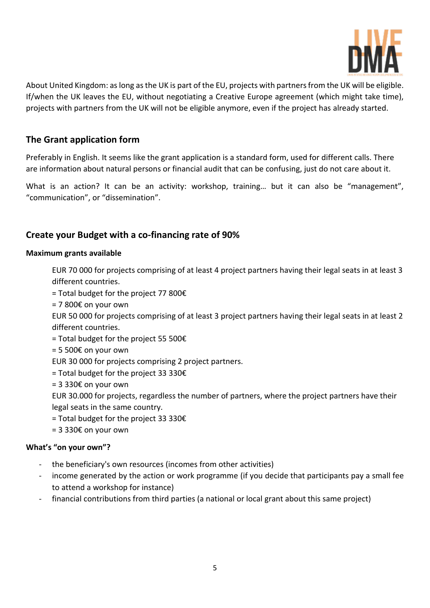

About United Kingdom: as long as the UK is part of the EU, projects with partners from the UK will be eligible. If/when the UK leaves the EU, without negotiating a Creative Europe agreement (which might take time), projects with partners from the UK will not be eligible anymore, even if the project has already started.

## **The Grant application form**

Preferably in English. It seems like the grant application is a standard form, used for different calls. There are information about natural persons or financial audit that can be confusing, just do not care about it.

What is an action? It can be an activity: workshop, training... but it can also be "management", "communication", or "dissemination".

## **Create your Budget with a co-financing rate of 90%**

#### **Maximum grants available**

EUR 70 000 for projects comprising of at least 4 project partners having their legal seats in at least 3 different countries.

- = Total budget for the project 77 800€
- $= 7800 \epsilon$  on your own

EUR 50 000 for projects comprising of at least 3 project partners having their legal seats in at least 2 different countries.

- = Total budget for the project 55 500€
- $= 5500E$  on your own
- EUR 30 000 for projects comprising 2 project partners.
- = Total budget for the project 33 330€
- $= 3330E$  on your own

EUR 30.000 for projects, regardless the number of partners, where the project partners have their legal seats in the same country.

- $=$  Total budget for the project 33 330 $\epsilon$
- $= 3330E$  on your own

#### **What's "on your own"?**

- the beneficiary's own resources (incomes from other activities)
- income generated by the action or work programme (if you decide that participants pay a small fee to attend a workshop for instance)
- financial contributions from third parties (a national or local grant about this same project)